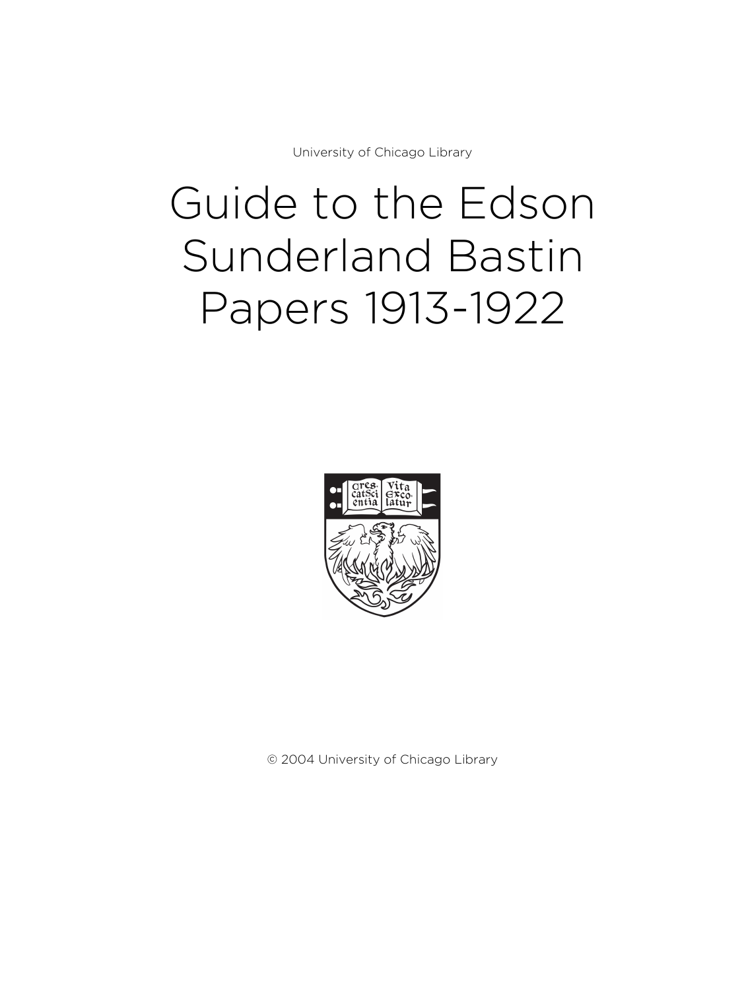University of Chicago Library

# Guide to the Edson Sunderland Bastin Papers 1913-1922



© 2004 University of Chicago Library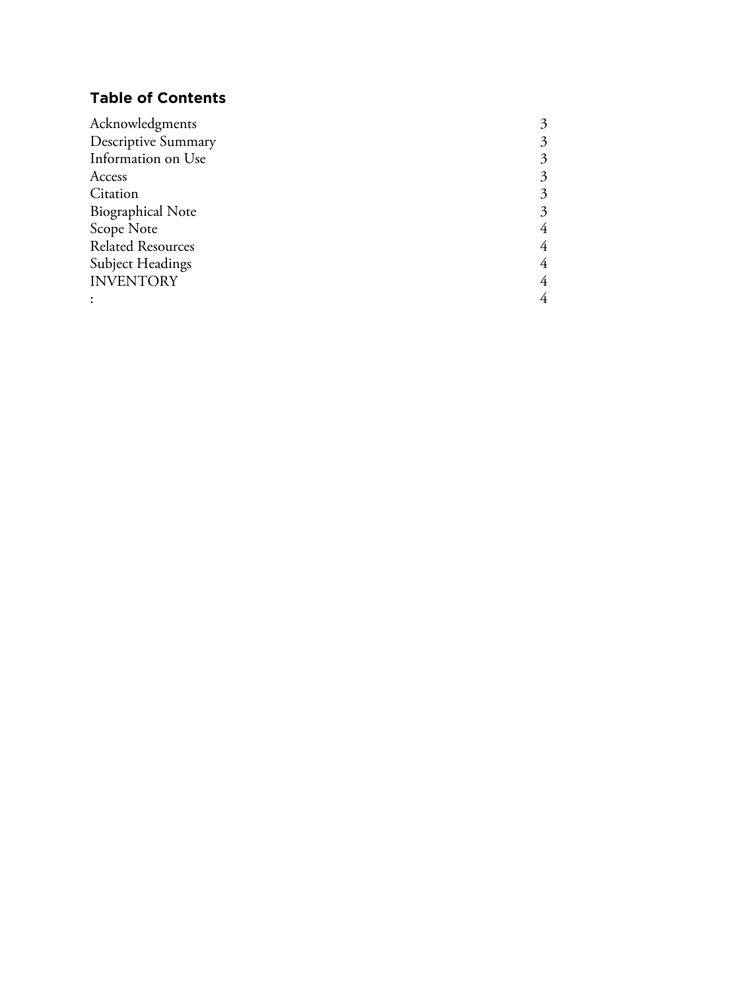## **Table of Contents**

| Acknowledgments          |   |
|--------------------------|---|
| Descriptive Summary      | 3 |
| Information on Use       | 3 |
| Access                   | 3 |
| Citation                 | 3 |
| <b>Biographical Note</b> | 3 |
| Scope Note               |   |
| <b>Related Resources</b> |   |
| Subject Headings         | 4 |
| <b>INVENTORY</b>         | 4 |
|                          |   |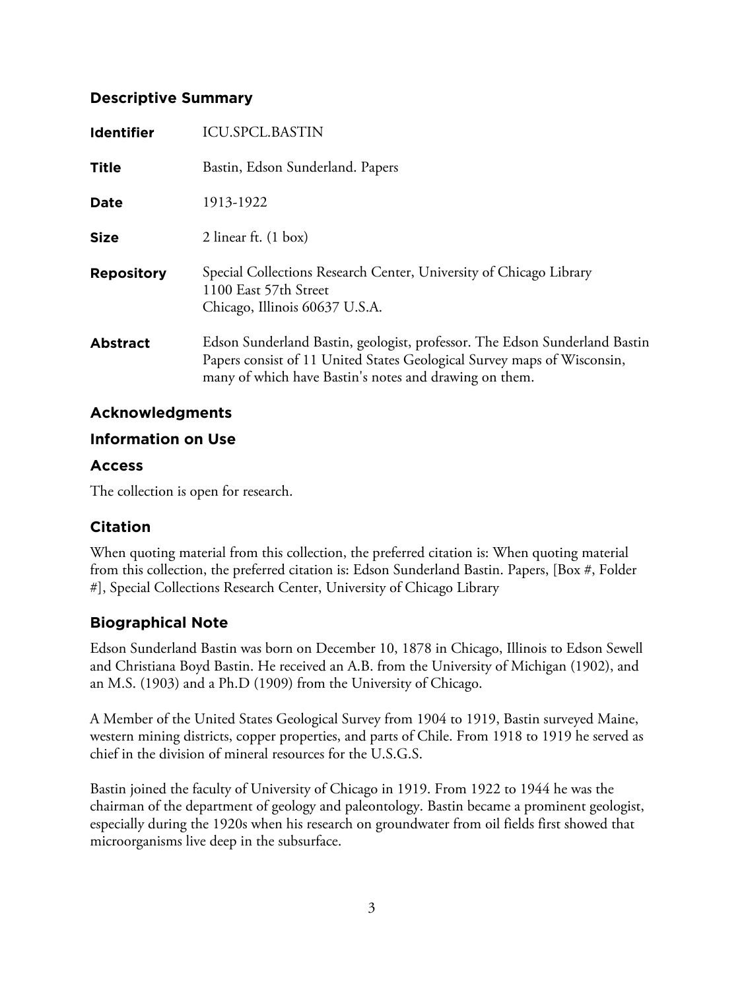## **Descriptive Summary**

| <b>Identifier</b> | <b>ICU.SPCL.BASTIN</b>                                                                                                                                                                                          |
|-------------------|-----------------------------------------------------------------------------------------------------------------------------------------------------------------------------------------------------------------|
| <b>Title</b>      | Bastin, Edson Sunderland. Papers                                                                                                                                                                                |
| Date              | 1913-1922                                                                                                                                                                                                       |
| <b>Size</b>       | 2 linear ft. $(1 \text{ box})$                                                                                                                                                                                  |
| <b>Repository</b> | Special Collections Research Center, University of Chicago Library<br>1100 East 57th Street<br>Chicago, Illinois 60637 U.S.A.                                                                                   |
| <b>Abstract</b>   | Edson Sunderland Bastin, geologist, professor. The Edson Sunderland Bastin<br>Papers consist of 11 United States Geological Survey maps of Wisconsin,<br>many of which have Bastin's notes and drawing on them. |

## **Acknowledgments**

## **Information on Use**

## **Access**

The collection is open for research.

## **Citation**

When quoting material from this collection, the preferred citation is: When quoting material from this collection, the preferred citation is: Edson Sunderland Bastin. Papers, [Box #, Folder #], Special Collections Research Center, University of Chicago Library

## **Biographical Note**

Edson Sunderland Bastin was born on December 10, 1878 in Chicago, Illinois to Edson Sewell and Christiana Boyd Bastin. He received an A.B. from the University of Michigan (1902), and an M.S. (1903) and a Ph.D (1909) from the University of Chicago.

A Member of the United States Geological Survey from 1904 to 1919, Bastin surveyed Maine, western mining districts, copper properties, and parts of Chile. From 1918 to 1919 he served as chief in the division of mineral resources for the U.S.G.S.

Bastin joined the faculty of University of Chicago in 1919. From 1922 to 1944 he was the chairman of the department of geology and paleontology. Bastin became a prominent geologist, especially during the 1920s when his research on groundwater from oil fields first showed that microorganisms live deep in the subsurface.